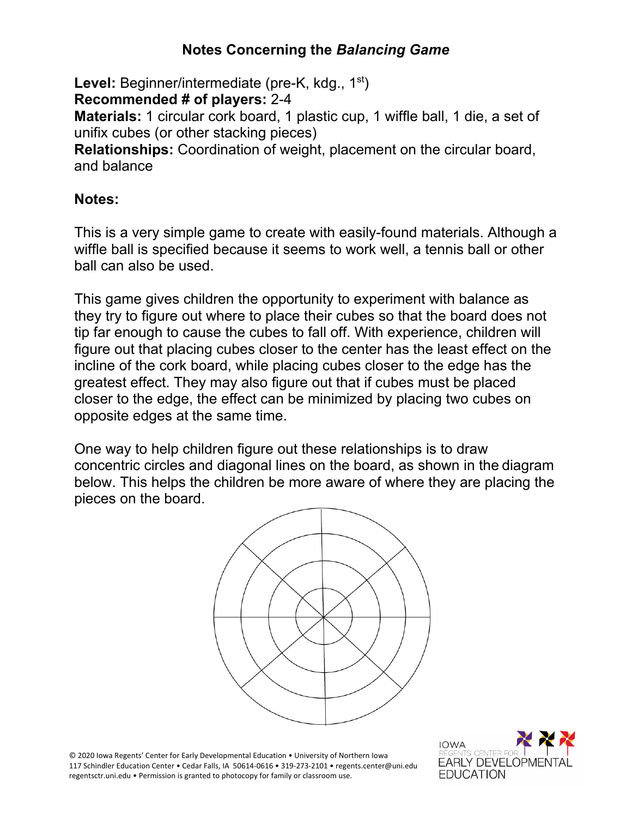## **Notes Concerning the** *Balancing Game*

Level: Beginner/intermediate (pre-K, kdg., 1<sup>st</sup>)

**Recommended # of players:** 2-4

**Materials:** 1 circular cork board, 1 plastic cup, 1 wiffle ball, 1 die, a set of unifix cubes (or other stacking pieces)

**Relationships:** Coordination of weight, placement on the circular board, and balance

## **Notes:**

This is a very simple game to create with easily-found materials. Although a wiffle ball is specified because it seems to work well, a tennis ball or other ball can also be used.

This game gives children the opportunity to experiment with balance as they try to figure out where to place their cubes so that the board does not tip far enough to cause the cubes to fall off. With experience, children will figure out that placing cubes closer to the center has the least effect on the incline of the cork board, while placing cubes closer to the edge has the greatest effect. They may also figure out that if cubes must be placed closer to the edge, the effect can be minimized by placing two cubes on opposite edges at the same time.

One way to help children figure out these relationships is to draw concentric circles and diagonal lines on the board, as shown in the diagram below. This helps the children be more aware of where they are placing the pieces on the board.



© 2020 Iowa Regents' Center for Early Developmental Education • University of Northern Iowa 117 Schindler Education Center • Cedar Falls, IA 50614-0616 • 319-273-2101 • regents.center@uni.edu regentsctr.uni.edu • Permission is granted to photocopy for family or classroom use.